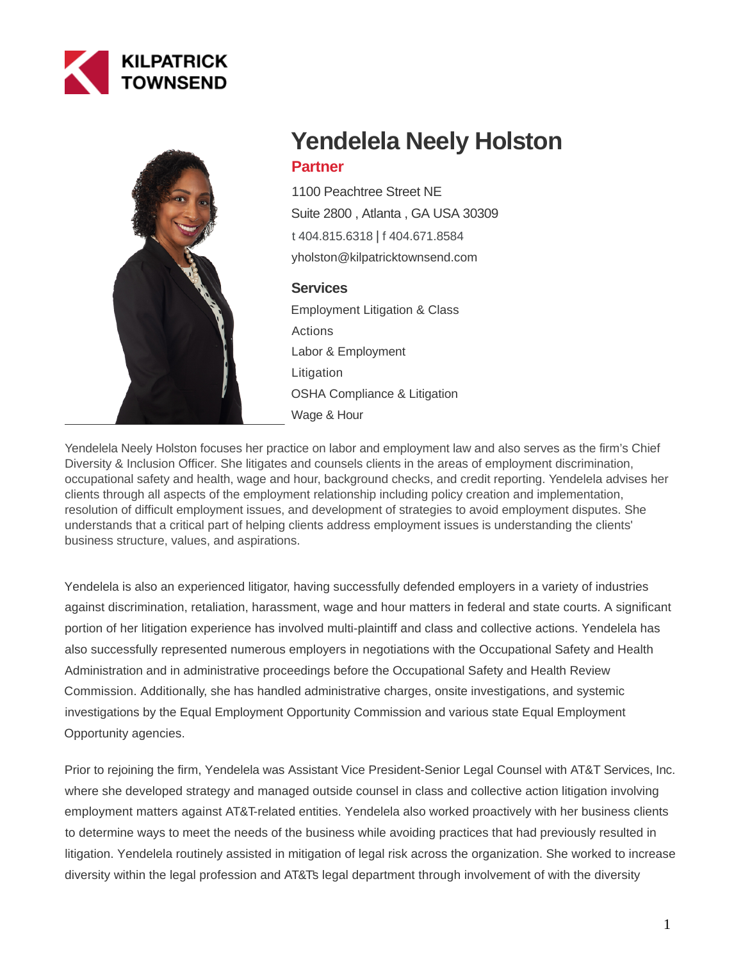



# **Yendelela Neely Holston**

# **Partner**

1100 Peachtree Street NE Suite 2800 , Atlanta , GA USA 30309 [t 404.815.6318](tel:404.815.6318) | [f 404.671.8584](fax:404.671.8584) yholston@kilpatricktownsend.com

# **Services**

Employment Litigation & Class Actions Labor & Employment Litigation OSHA Compliance & Litigation Wage & Hour

Yendelela Neely Holston focuses her practice on labor and employment law and also serves as the firm's Chief Diversity & Inclusion Officer. She litigates and counsels clients in the areas of employment discrimination, occupational safety and health, wage and hour, background checks, and credit reporting. Yendelela advises her clients through all aspects of the employment relationship including policy creation and implementation, resolution of difficult employment issues, and development of strategies to avoid employment disputes. She understands that a critical part of helping clients address employment issues is understanding the clients' business structure, values, and aspirations.

Yendelela is also an experienced litigator, having successfully defended employers in a variety of industries against discrimination, retaliation, harassment, wage and hour matters in federal and state courts. A significant portion of her litigation experience has involved multi-plaintiff and class and collective actions. Yendelela has also successfully represented numerous employers in negotiations with the Occupational Safety and Health Administration and in administrative proceedings before the Occupational Safety and Health Review Commission. Additionally, she has handled administrative charges, onsite investigations, and systemic investigations by the Equal Employment Opportunity Commission and various state Equal Employment Opportunity agencies.

Prior to rejoining the firm, Yendelela was Assistant Vice President-Senior Legal Counsel with AT&T Services, Inc. where she developed strategy and managed outside counsel in class and collective action litigation involving employment matters against AT&T-related entities. Yendelela also worked proactively with her business clients to determine ways to meet the needs of the business while avoiding practices that had previously resulted in litigation. Yendelela routinely assisted in mitigation of legal risk across the organization. She worked to increase diversity within the legal profession and AT&Ts legal department through involvement of with the diversity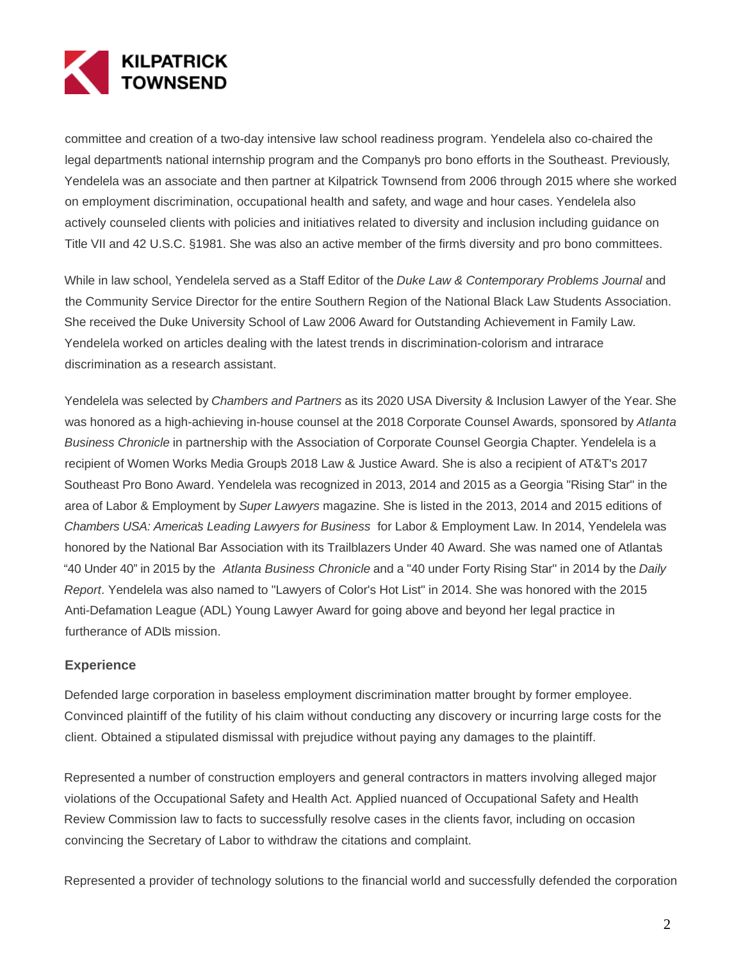

committee and creation of a two-day intensive law school readiness program. Yendelela also co-chaired the legal departments national internship program and the Company's pro bono efforts in the Southeast. Previously, Yendelela was an associate and then partner at Kilpatrick Townsend from 2006 through 2015 where she worked on employment discrimination, occupational health and safety, and wage and hour cases. Yendelela also actively counseled clients with policies and initiatives related to diversity and inclusion including guidance on Title VII and 42 U.S.C. §1981. She was also an active member of the firm's diversity and pro bono committees.

While in law school, Yendelela served as a Staff Editor of the Duke Law & Contemporary Problems Journal and the Community Service Director for the entire Southern Region of the National Black Law Students Association. She received the Duke University School of Law 2006 Award for Outstanding Achievement in Family Law. Yendelela worked on articles dealing with the latest trends in discrimination-colorism and intrarace discrimination as a research assistant.

Yendelela was selected by Chambers and Partners as its 2020 USA Diversity & Inclusion Lawyer of the Year. She was honored as a high-achieving in-house counsel at the 2018 Corporate Counsel Awards, sponsored by Atlanta Business Chronicle in partnership with the Association of Corporate Counsel Georgia Chapter. Yendelela is a recipient of Women Works Media Group's 2018 Law & Justice Award. She is also a recipient of AT&T's 2017 Southeast Pro Bono Award. Yendelela was recognized in 2013, 2014 and 2015 as a Georgia "Rising Star" in the area of Labor & Employment by Super Lawyers magazine. She is listed in the 2013, 2014 and 2015 editions of Chambers USA: America's Leading Lawyers for Business for Labor & Employment Law. In 2014, Yendelela was honored by the National Bar Association with its Trailblazers Under 40 Award. She was named one of Atlanta's "40 Under 40" in 2015 by the Atlanta Business Chronicle and a "40 under Forty Rising Star" in 2014 by the Daily Report. Yendelela was also named to "Lawyers of Color's Hot List" in 2014. She was honored with the 2015 Anti-Defamation League (ADL) Young Lawyer Award for going above and beyond her legal practice in furtherance of ADIs mission.

#### **Experience**

Defended large corporation in baseless employment discrimination matter brought by former employee. Convinced plaintiff of the futility of his claim without conducting any discovery or incurring large costs for the client. Obtained a stipulated dismissal with prejudice without paying any damages to the plaintiff.

Represented a number of construction employers and general contractors in matters involving alleged major violations of the Occupational Safety and Health Act. Applied nuanced of Occupational Safety and Health Review Commission law to facts to successfully resolve cases in the clients favor, including on occasion convincing the Secretary of Labor to withdraw the citations and complaint.

Represented a provider of technology solutions to the financial world and successfully defended the corporation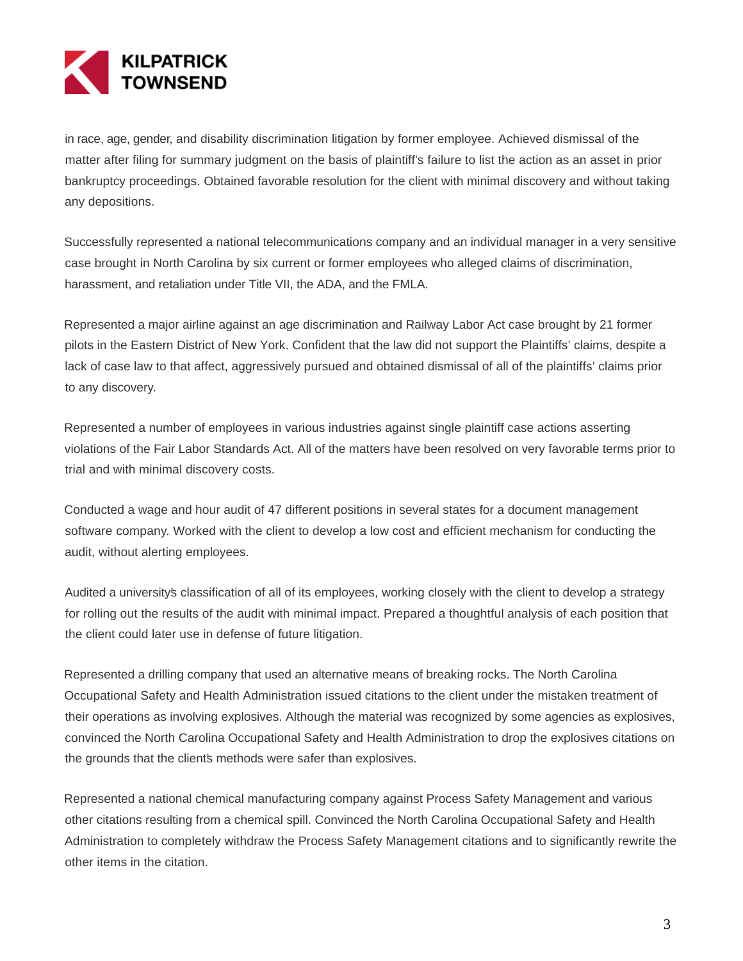

in race, age, gender, and disability discrimination litigation by former employee. Achieved dismissal of the matter after filing for summary judgment on the basis of plaintiff's failure to list the action as an asset in prior bankruptcy proceedings. Obtained favorable resolution for the client with minimal discovery and without taking any depositions.

Successfully represented a national telecommunications company and an individual manager in a very sensitive case brought in North Carolina by six current or former employees who alleged claims of discrimination, harassment, and retaliation under Title VII, the ADA, and the FMLA.

Represented a major airline against an age discrimination and Railway Labor Act case brought by 21 former pilots in the Eastern District of New York. Confident that the law did not support the Plaintiffs' claims, despite a lack of case law to that affect, aggressively pursued and obtained dismissal of all of the plaintiffs' claims prior to any discovery.

Represented a number of employees in various industries against single plaintiff case actions asserting violations of the Fair Labor Standards Act. All of the matters have been resolved on very favorable terms prior to trial and with minimal discovery costs.

Conducted a wage and hour audit of 47 different positions in several states for a document management software company. Worked with the client to develop a low cost and efficient mechanism for conducting the audit, without alerting employees.

Audited a university's classification of all of its employees, working closely with the client to develop a strategy for rolling out the results of the audit with minimal impact. Prepared a thoughtful analysis of each position that the client could later use in defense of future litigation.

Represented a drilling company that used an alternative means of breaking rocks. The North Carolina Occupational Safety and Health Administration issued citations to the client under the mistaken treatment of their operations as involving explosives. Although the material was recognized by some agencies as explosives, convinced the North Carolina Occupational Safety and Health Administration to drop the explosives citations on the grounds that the clients methods were safer than explosives.

Represented a national chemical manufacturing company against Process Safety Management and various other citations resulting from a chemical spill. Convinced the North Carolina Occupational Safety and Health Administration to completely withdraw the Process Safety Management citations and to significantly rewrite the other items in the citation.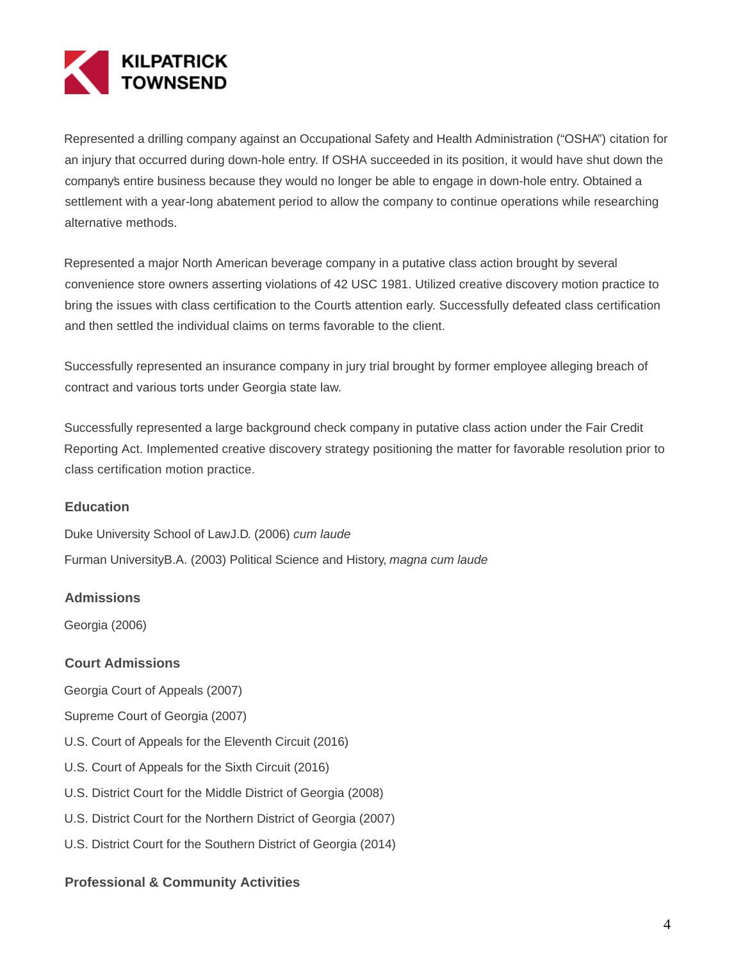

Represented a drilling company against an Occupational Safety and Health Administration ("OSHA") citation for an injury that occurred during down-hole entry. If OSHA succeeded in its position, it would have shut down the company's entire business because they would no longer be able to engage in down-hole entry. Obtained a settlement with a year-long abatement period to allow the company to continue operations while researching alternative methods.

Represented a major North American beverage company in a putative class action brought by several convenience store owners asserting violations of 42 USC 1981. Utilized creative discovery motion practice to bring the issues with class certification to the Court's attention early. Successfully defeated class certification and then settled the individual claims on terms favorable to the client.

Successfully represented an insurance company in jury trial brought by former employee alleging breach of contract and various torts under Georgia state law.

Successfully represented a large background check company in putative class action under the Fair Credit Reporting Act. Implemented creative discovery strategy positioning the matter for favorable resolution prior to class certification motion practice.

# **Education**

Duke University School of LawJ.D. (2006) cum laude Furman UniversityB.A. (2003) Political Science and History, magna cum laude

# **Admissions**

Georgia (2006)

# **Court Admissions**

Georgia Court of Appeals (2007)

- Supreme Court of Georgia (2007)
- U.S. Court of Appeals for the Eleventh Circuit (2016)
- U.S. Court of Appeals for the Sixth Circuit (2016)
- U.S. District Court for the Middle District of Georgia (2008)
- U.S. District Court for the Northern District of Georgia (2007)
- U.S. District Court for the Southern District of Georgia (2014)

#### **Professional & Community Activities**